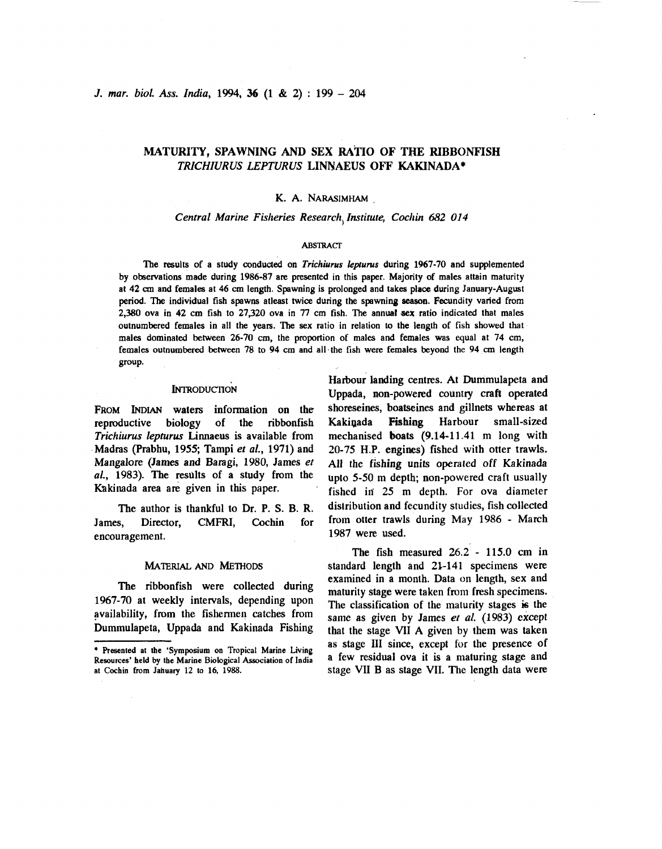J. mar. biol. Ass. India, 1994, 36 (1 & 2) : 199 - <sup>204</sup>

# MATURITY, SPAWNING AND SEX **RA'TIO** OF THE RIBBONFISH TRICHIURUS LEPTURUS LINNAEUS OFF KAKINADA\*

# K. A. NARASIMHAM

### Central Marine Fisheries Research Institute, Cochin 682 014

### **ABSTRACT**

The results of a study conducted on *Trichiurus lepturus* during 1967-70 and supplemented by observations made during 1986-87 are presented in this paper. Majority of males attain maturity at 42 **an** and females at 46 cm length. Spawning is prolonged and **takes** place during January-August period. The individual fish spawns atleast twice during the spawning **seasan.** Fecundity varied from 2,380 ova in 42 cm fish to 27,320 ova in 77 cm fish. The annual **sex** ratio indicated that males outnumbered females in all the years. The **sex** ratio in relation to the length of fish showed that males dominated between 26-70 cm, the proportion of males and females was equal at 74 cm, females outnumbered between 78 to 94 cm and all.the fish were females beyond the 94 **cm** length group.

# **INTRODUCTION**

**FROM** INDIAN waters information on the reproductive biology of the ribbonfish Trichiurus lepturus Limaeus is available from Madras (Prabhu, 1955; Tampi et al., 1971) and Mangalore (James and Baragi, 1980, James et al., 1983). The results of a study from the Kakinada area are given in this paper.

James, Director, CMFRI, Cochin for from otter trawls during May 1986 - March ancouragement encouragement.

availability, from the fishermen catches from<br>Dummulapeta, Uppada and Kakinada Fishing<br>that the stage VII A given by them was taken

Harbour landing centres. At Dummulapeta and Uppada, non-powered country craft operated shoreseines, boatseines and gillnets whereas at Kakiqada Fishing Harbour small-sized mechanised boats (9.14-11.41 m long with 20-75 H.P. engines) fished with otter trawls. **A11** the fishing units operated off Kakinada upto 5-50 **m** depth; non-powered craft usually fished in' 25 m depth. For ova diameter The author is thankful to Dr. p. **S. B. R,** distribution and fecundity studies, fish collected

The fish measured 26.2 - 115.0 cm in **MATERIAL AND METHODS** standard length and 21-141 specimens were The ribbonfish were collected during examined in a month. Data on length, sex and maturity stage were taken from fresh specimens.<br>1967-70 at weekly intervals, depending upon The classification of the maturity stages is the The classification of the maturity stages is the that the stage VII A given by them was taken \* Presented at the 'Symposium on Tropical Marine Living as stage III since, except for the presence of at Cochin from iahuary 12 to 16, **i988.** stage **VII** B as stage VII. The length data were

Resources' held **bv** the Marine Biological Association of India **a** few residual ova it is a maturing stage and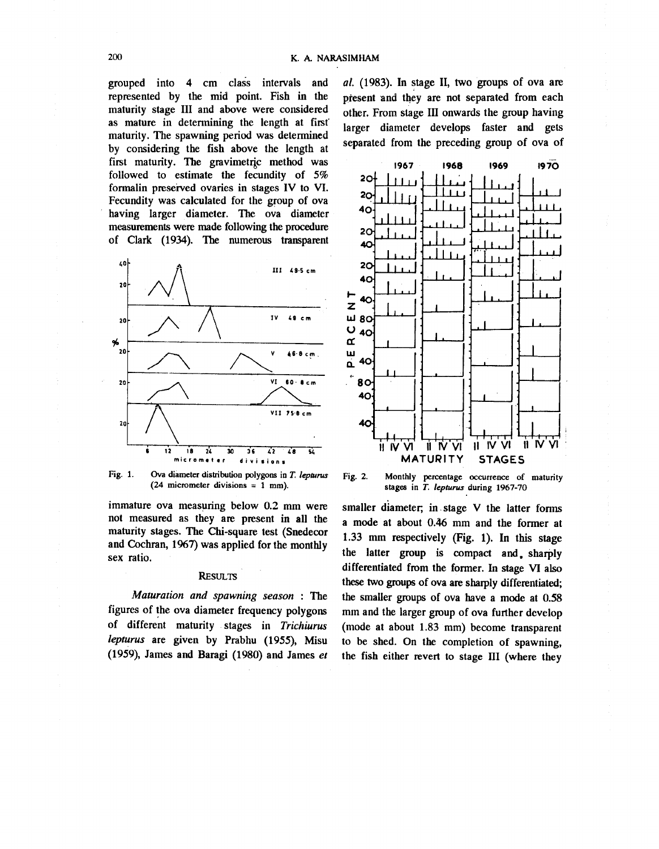grouped into 4 cm class intervals and represented by the mid point. Fish in the maturity stage III and above were considered as mature in determining the length at first maturity. The spawning period was determined by considering the fish above the length at first maturity. The gravimetric method was followed to estimate the fecundity of 5% formalin preserved ovaries in stages IV to VI. Fecundity was calculated for the group of ova having larger diameter. The ova diameter measurements were made following the procedure of Clark (1934). The numerous transparent



Fig. 1. Ova diameter distribution polygons in T. lepturus  $(24$  micrometer divisions = 1 mm).

immature ova measuring below 0.2 mm were not measured as they are present in all the maturity stages. The Chi-square test (Snedecor and Cochran, 1967) was applied for the monthly sex ratio.

### **RESULTS**

Maturation and spawning season: The figures of the ova diameter frequency polygons of different maturity stages in Trichiurus lepturus are given by Prabhu (1955), Misu (1959), James and Baragi (1980) and James et al. (1983). In stage II, two groups of ova are present and they are not separated from each other. From stage III onwards the group having larger diameter develops faster and gets separated from the preceding group of ova of



Fig. 2. Monthly percentage occurrence of maturity stages in T. lepturus during 1967-70

smaller diameter; in stage V the latter forms a mode at about 0.46 mm and the former at 1.33 mm respectively (Fig. 1). In this stage the latter group is compact and sharply differentiated from the former. In stage VI also these two groups of ova are sharply differentiated; the smaller groups of ova have a mode at 0.58 mm and the larger group of ova further develop (mode at about 1.83 mm) become transparent to be shed. On the completion of spawning, the fish either revert to stage III (where they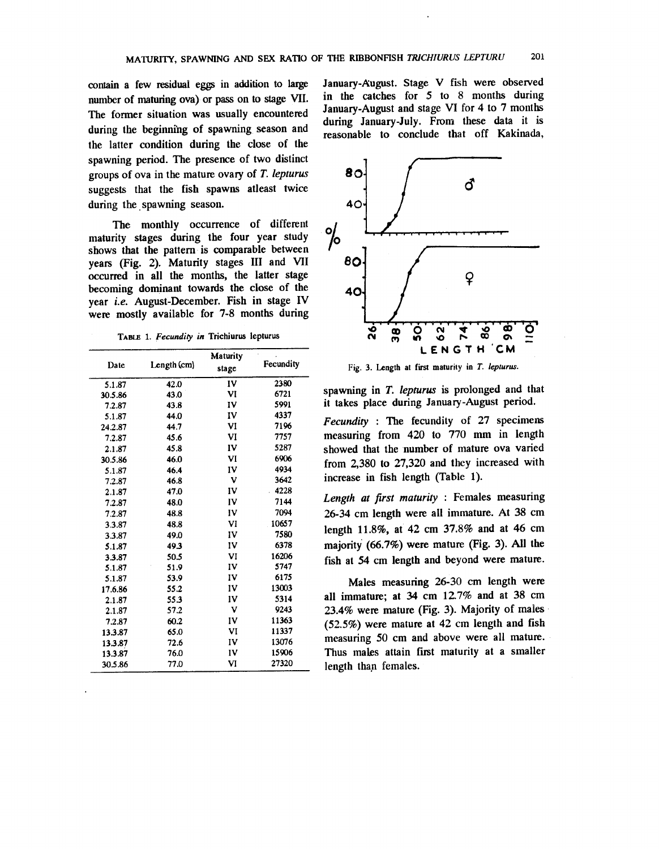contain a few residual eggs in addition to large number of maturing ova) or pass on to stage VII. The former situation was usually encountered during the beginning of spawning season and the latter condition during the close of the spawning period. The presence of two distinct groups of ova in the mature ovary of T. lepturus suggests that the fish spawns atleast twice during the spawning season.

The monthly occurrence of different maturity stages during the four year study shows that the pattern is comparable between vears (Fig. 2). Maturity stages III and VII occurred in all the months, the latter stage becoming dominant towards the close of the year i.e. August-December. Fish in stage IV were mostly available for 7-8 months during

TABLE 1. Fecundity in Trichiurus lepturus

| Date    | Length (cm) | <b>Maturity</b> | Fecundity |
|---------|-------------|-----------------|-----------|
|         |             | stage           |           |
| 5.1.87  | 42.0        | IV              | 2380      |
| 30.5.86 | 43.0        | VI              | 6721      |
| 7.2.87  | 43.8        | IV              | 5991      |
| 5.1.87  | 44.0        | IV              | 4337      |
| 24.2.87 | 44.7        | VI              | 7196      |
| 7.2.87  | 45.6        | VI              | 7757      |
| 2.1.87  | 45.8        | IV              | 5287      |
| 30.5.86 | 46.0        | VI              | 6906      |
| 5.1.87  | 46.4        | IV              | 4934      |
| 7.2.87  | 46.8        | v               | 3642      |
| 2.1.87  | 47.0        | IV              | 4228      |
| 7.2.87  | 48.0        | IV              | 7144      |
| 7.2.87  | 48.8        | IV              | 7094      |
| 3.3.87  | 48.8        | VI              | 10657     |
| 3.3.87  | 49.0        | IV              | 7580      |
| 5.1.87  | 49.3        | IV              | 6378      |
| 3.3.87  | 50.5        | VI              | 16206     |
| 5.1.87  | 51.9        | IV              | 5747      |
| 5.1.87  | 53.9        | IV              | 6175      |
| 17.6.86 | 55.2        | IV              | 13003     |
| 2.1.87  | 553         | IV              | 5314      |
| 2.1.87  | 57.2        | v               | 9243      |
| 7.2.87  | 60.2        | IV              | 11363     |
| 13.3.87 | 65.0        | VI              | 11337     |
| 13.3.87 | 72.6        | IV              | 13076     |
| 13.3.87 | 76.0        | IV              | 15906     |
| 30.5.86 | 77.0        | VI              | 27320     |

January-August. Stage V fish were observed in the catches for 5 to 8 months during January-August and stage VI for 4 to 7 months during January-July. From these data it is reasonable to conclude that off Kakinada,



Fig. 3. Length at first maturity in T. lepturus.

spawning in T. lepturus is prolonged and that it takes place during January-August period.

Fecundity : The fecundity of 27 specimens measuring from 420 to 770 mm in length showed that the number of mature ova varied from 2,380 to 27,320 and they increased with increase in fish length (Table 1).

Length at first maturity : Females measuring 26-34 cm length were all immature. At 38 cm length 11.8%, at 42 cm 37.8% and at 46 cm majority (66.7%) were mature (Fig. 3). All the fish at 54 cm length and beyond were mature.

Males measuring 26-30 cm length were all immature; at 34 cm 12.7% and at 38 cm 23.4% were mature (Fig. 3). Majority of males (52.5%) were mature at 42 cm length and fish measuring 50 cm and above were all mature. Thus males attain first maturity at a smaller length than females.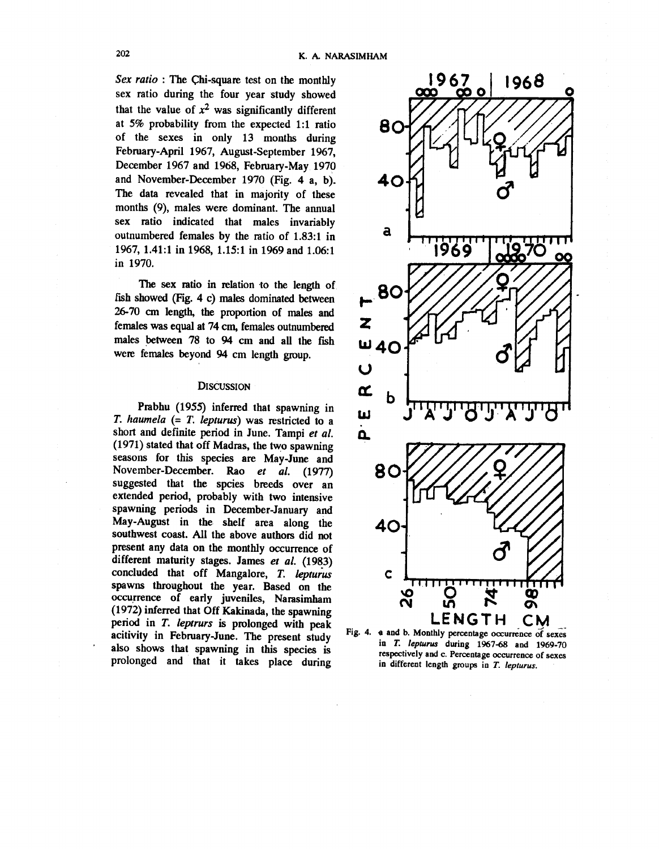Sex ratio : The Chi-square test on the monthly sex ratio during the four year study showed that the value of  $x^2$  was significantly different at 5% probability from the expected 1:1 ratio of the sexes in only 13 months during February-April 1967, August-September 1967, December 1967 and 1968, February-May 1970 and November-December 1970 (Fig. 4 a, b). The data revealed that in majority of these months (9), males were dominant. The annual sex ratio indicated that males invariably outnumbered females by the ratio of 1.83:1 in 1967, 1.41:1 in 1968, 1.15:1 in 1969 and 1.06:1 in 1970.

The sex ratio in relation to the length of fish showed (Fig. 4 c) males dominated between 26-70 cm length, the proportion of males and females was equal at 74 cm, females outnumbered males between 78 to 94 cm and all the fish were females beyond 94 cm length group.

# **DISCUSSION**

Prabhu (1955) inferred that spawning in T. haumela  $(= T.$  lepturus) was restricted to a short and definite period in June. Tampi et al. (1971) stated that off Madras, the two spawning seasons for this species are May-June and November-December. Rao et al. (1977) suggested that the spcies breeds over an extended period, probably with two intensive spawning periods in December-January and May-August in the shelf area along the southwest coast. All the above authors did not present any data on the monthly occurrence of different maturity stages. James et al. (1983) concluded that off Mangalore, T. lepturus spawns throughout the year. Based on the occurrence of early juveniles, Narasimham (1972) inferred that Off Kakinada, the spawning period in T. leptrurs is prolonged with peak acitivity in February-June. The present study also shows that spawning in this species is prolonged and that it takes place during



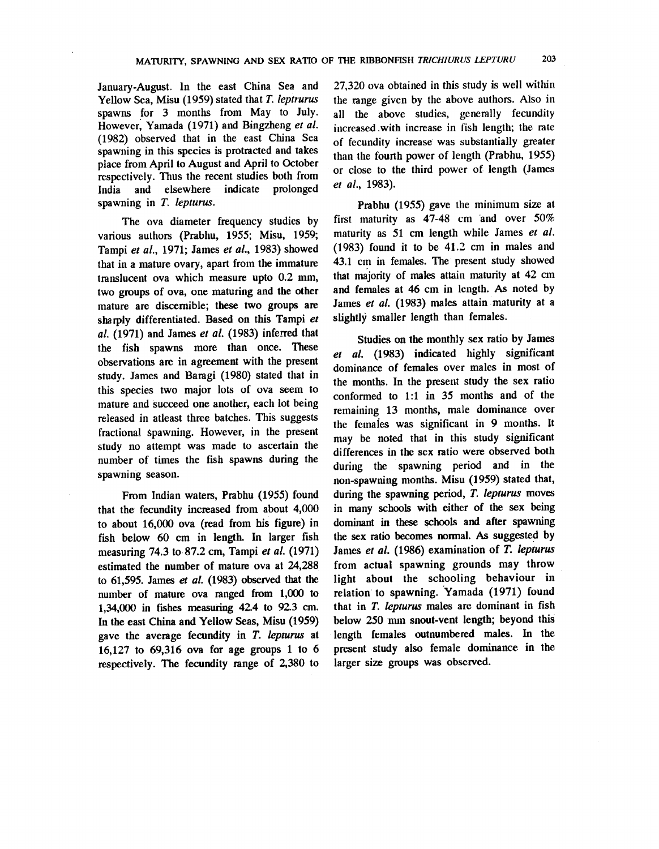January-August. In the east China Sea and Yellow Sea, Misu (1959) stated that T. leptrurus spawns for 3 months from May to July. However, Yamada (1971) and Bingzheng et al. (1982) observed that in the east China Sea spawning in this species is protracted and takes place from April to August and April to October respectively. Thus the recent studies both from India and elsewhere indicate prolonged spawning in T. lepturus.

The ova diameter frequency studies by various authors (Prabhu, 1955; Misu, 1959; Tampi et al., 1971; James et al., 1983) showed that in a mature ovary, apart from the immature translucent ova which measure upto 0.2 mm, two groups of ova, one maturing and the other mature are discernible; these two groups are sharply differentiated. Based on this Tampi et al. (1971) and James et al. (1983) inferred that the fish spawns more than once. These observations are in agreement with the present study. James and Baragi (1980) stated that in this species two major lots of ova seem to mature and succeed one another, each lot being released in atleast three batches. This suggests fractional spawning. However, in the present study no attempt was made to ascertain the number of times the fish spawns during the spawning season.

From Indian waters, Prabhu (1955) found that the fecundity increased from about 4,000 to about 16,000 ova (read from his figure) in fish below 60 cm in length. In larger fish measuring 74.3 to 87.2 cm, Tampi et al. (1971) estimated the number of mature ova at 24,288 to  $61,595$ . James et al. (1983) observed that the number of mature ova ranged from 1,000 to 1,34,000 in fishes measuring 42.4 to 92.3 cm. In the east China and Yellow Seas, Misu (1959) gave the average fecundity in T. lepturus at 16,127 to 69,316 ova for age groups 1 to 6 respectively. The fecundity range of 2,380 to

27,320 ova obtained in this study is well within the range given by the above authors. Also in all the above studies, generally fecundity increased with increase in fish length; the rate of fecundity increase was substantially greater than the fourth power of length (Prabhu, 1955) or close to the third power of length (James et al., 1983).

Prabhu (1955) gave the minimum size at first maturity as  $47-48$  cm and over  $50\%$ maturity as 51 cm length while James et al. (1983) found it to be 41.2 cm in males and 43.1 cm in females. The present study showed that majority of males attain maturity at 42 cm and females at 46 cm in length. As noted by James et al. (1983) males attain maturity at a slightly smaller length than females.

Studies on the monthly sex ratio by James et al. (1983) indicated highly significant dominance of females over males in most of the months. In the present study the sex ratio conformed to 1:1 in 35 months and of the remaining 13 months, male dominance over the females was significant in 9 months. It may be noted that in this study significant differences in the sex ratio were observed both during the spawning period and in the non-spawning months. Misu (1959) stated that, during the spawning period, T. lepturus moves in many schools with either of the sex being dominant in these schools and after spawning the sex ratio becomes normal. As suggested by James et al. (1986) examination of T. lepturus from actual spawning grounds may throw light about the schooling behaviour in relation to spawning. Yamada (1971) found that in T. lepturus males are dominant in fish below 250 mm snout-vent length; beyond this length females outnumbered males. In the present study also female dominance in the larger size groups was observed.

203